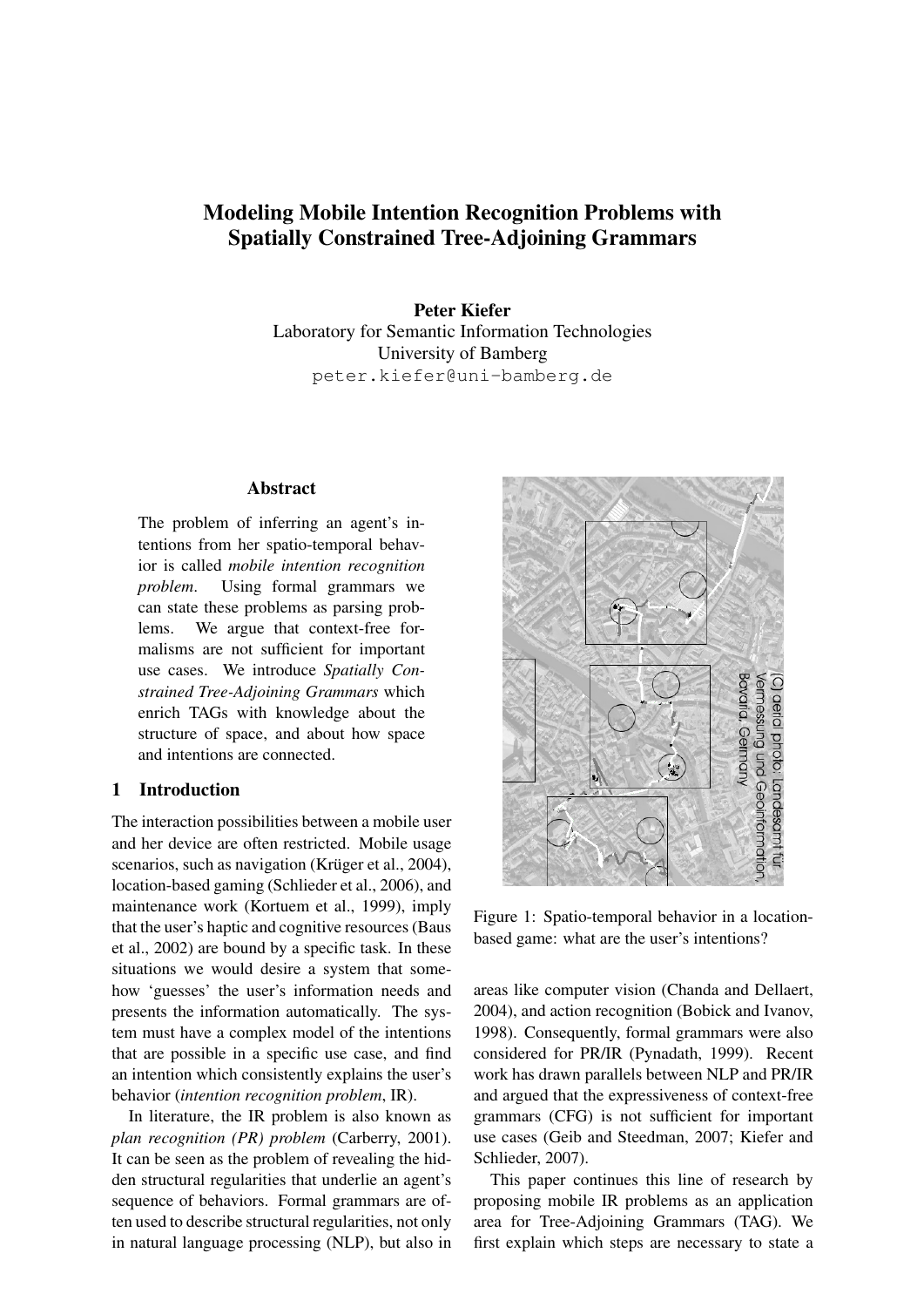# Modeling Mobile Intention Recognition Problems with Spatially Constrained Tree-Adjoining Grammars

Peter Kiefer Laboratory for Semantic Information Technologies University of Bamberg peter.kiefer@uni-bamberg.de

#### **Abstract**

The problem of inferring an agent's intentions from her spatio-temporal behavior is called *mobile intention recognition problem*. Using formal grammars we can state these problems as parsing problems. We argue that context-free formalisms are not sufficient for important use cases. We introduce *Spatially Constrained Tree-Adjoining Grammars* which enrich TAGs with knowledge about the structure of space, and about how space and intentions are connected.

# 1 Introduction

The interaction possibilities between a mobile user and her device are often restricted. Mobile usage scenarios, such as navigation (Krüger et al., 2004), location-based gaming (Schlieder et al., 2006), and maintenance work (Kortuem et al., 1999), imply that the user's haptic and cognitive resources (Baus et al., 2002) are bound by a specific task. In these situations we would desire a system that somehow 'guesses' the user's information needs and presents the information automatically. The system must have a complex model of the intentions that are possible in a specific use case, and find an intention which consistently explains the user's behavior (*intention recognition problem*, IR).

In literature, the IR problem is also known as *plan recognition (PR) problem* (Carberry, 2001). It can be seen as the problem of revealing the hidden structural regularities that underlie an agent's sequence of behaviors. Formal grammars are often used to describe structural regularities, not only in natural language processing (NLP), but also in



Figure 1: Spatio-temporal behavior in a locationbased game: what are the user's intentions?

areas like computer vision (Chanda and Dellaert, 2004), and action recognition (Bobick and Ivanov, 1998). Consequently, formal grammars were also considered for PR/IR (Pynadath, 1999). Recent work has drawn parallels between NLP and PR/IR and argued that the expressiveness of context-free grammars (CFG) is not sufficient for important use cases (Geib and Steedman, 2007; Kiefer and Schlieder, 2007).

This paper continues this line of research by proposing mobile IR problems as an application area for Tree-Adjoining Grammars (TAG). We first explain which steps are necessary to state a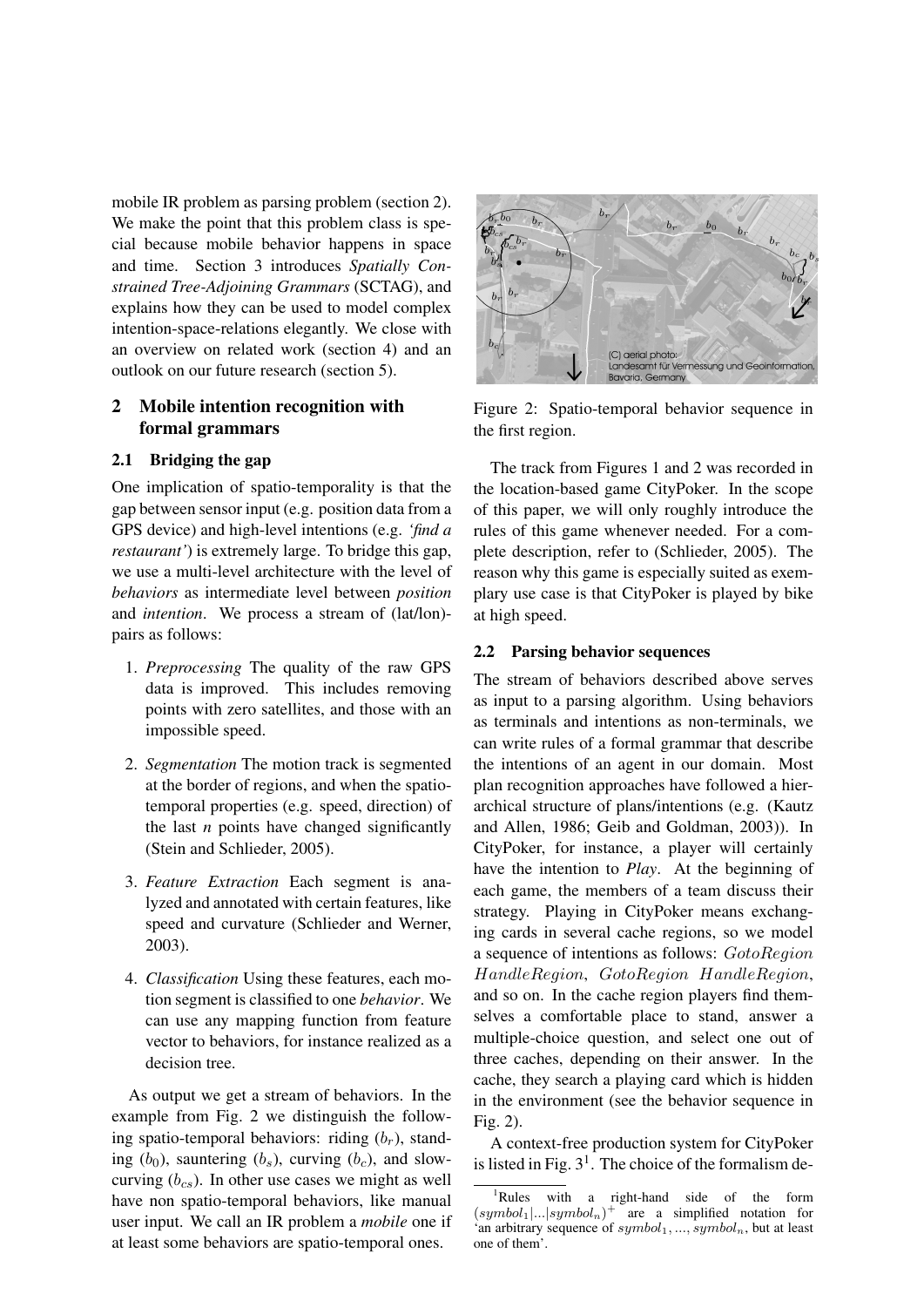mobile IR problem as parsing problem (section 2). We make the point that this problem class is special because mobile behavior happens in space and time. Section 3 introduces *Spatially Constrained Tree-Adjoining Grammars* (SCTAG), and explains how they can be used to model complex intention-space-relations elegantly. We close with an overview on related work (section 4) and an outlook on our future research (section 5).

# 2 Mobile intention recognition with formal grammars

## 2.1 Bridging the gap

One implication of spatio-temporality is that the gap between sensor input (e.g. position data from a GPS device) and high-level intentions (e.g. *'find a restaurant'*) is extremely large. To bridge this gap, we use a multi-level architecture with the level of *behaviors* as intermediate level between *position* and *intention*. We process a stream of (lat/lon) pairs as follows:

- 1. *Preprocessing* The quality of the raw GPS data is improved. This includes removing points with zero satellites, and those with an impossible speed.
- 2. *Segmentation* The motion track is segmented at the border of regions, and when the spatiotemporal properties (e.g. speed, direction) of the last *n* points have changed significantly (Stein and Schlieder, 2005).
- 3. *Feature Extraction* Each segment is analyzed and annotated with certain features, like speed and curvature (Schlieder and Werner, 2003).
- 4. *Classification* Using these features, each motion segment is classified to one *behavior*. We can use any mapping function from feature vector to behaviors, for instance realized as a decision tree.

As output we get a stream of behaviors. In the example from Fig. 2 we distinguish the following spatio-temporal behaviors: riding  $(b_r)$ , standing  $(b_0)$ , sauntering  $(b_s)$ , curving  $(b_c)$ , and slowcurving  $(b_{cs})$ . In other use cases we might as well have non spatio-temporal behaviors, like manual user input. We call an IR problem a *mobile* one if at least some behaviors are spatio-temporal ones.



Figure 2: Spatio-temporal behavior sequence in the first region.

The track from Figures 1 and 2 was recorded in the location-based game CityPoker. In the scope of this paper, we will only roughly introduce the rules of this game whenever needed. For a complete description, refer to (Schlieder, 2005). The reason why this game is especially suited as exemplary use case is that CityPoker is played by bike at high speed.

## 2.2 Parsing behavior sequences

The stream of behaviors described above serves as input to a parsing algorithm. Using behaviors as terminals and intentions as non-terminals, we can write rules of a formal grammar that describe the intentions of an agent in our domain. Most plan recognition approaches have followed a hierarchical structure of plans/intentions (e.g. (Kautz and Allen, 1986; Geib and Goldman, 2003)). In CityPoker, for instance, a player will certainly have the intention to *Play*. At the beginning of each game, the members of a team discuss their strategy. Playing in CityPoker means exchanging cards in several cache regions, so we model a sequence of intentions as follows: GotoRegion HandleRegion, GotoRegion HandleRegion, and so on. In the cache region players find themselves a comfortable place to stand, answer a multiple-choice question, and select one out of three caches, depending on their answer. In the cache, they search a playing card which is hidden in the environment (see the behavior sequence in Fig. 2).

A context-free production system for CityPoker is listed in Fig.  $3<sup>1</sup>$ . The choice of the formalism de-

<sup>&</sup>lt;sup>1</sup>Rules with a right-hand side of the form  $(symbol_1|...|symbol_n)^+$  are a simplified notation for 'an arbitrary sequence of  $symbol_1, ..., symbol_n$ , but at least one of them'.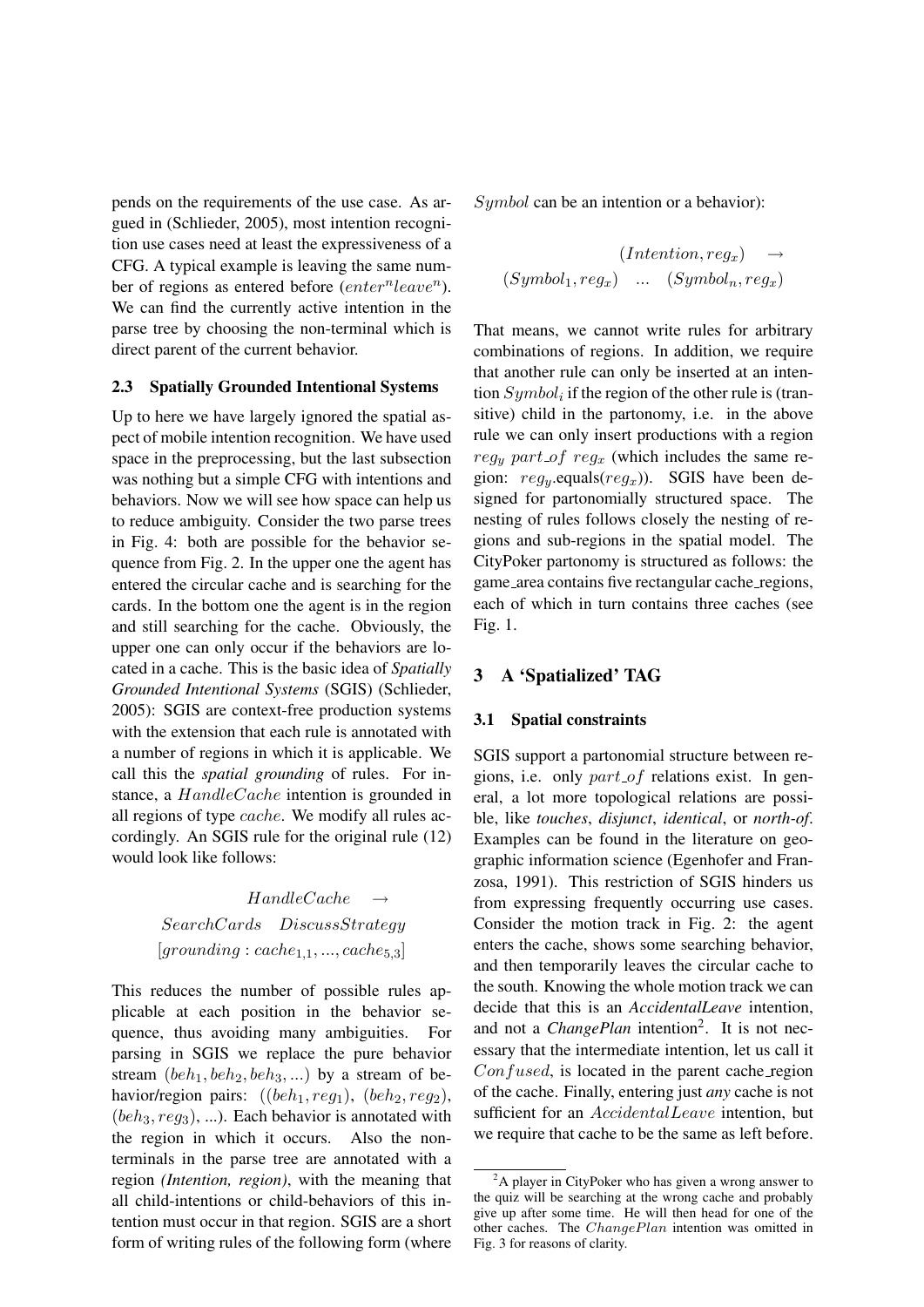pends on the requirements of the use case. As argued in (Schlieder, 2005), most intention recognition use cases need at least the expressiveness of a CFG. A typical example is leaving the same number of regions as entered before  $(enter^n leave^n)$ . We can find the currently active intention in the parse tree by choosing the non-terminal which is direct parent of the current behavior.

## 2.3 Spatially Grounded Intentional Systems

Up to here we have largely ignored the spatial aspect of mobile intention recognition. We have used space in the preprocessing, but the last subsection was nothing but a simple CFG with intentions and behaviors. Now we will see how space can help us to reduce ambiguity. Consider the two parse trees in Fig. 4: both are possible for the behavior sequence from Fig. 2. In the upper one the agent has entered the circular cache and is searching for the cards. In the bottom one the agent is in the region and still searching for the cache. Obviously, the upper one can only occur if the behaviors are located in a cache. This is the basic idea of *Spatially Grounded Intentional Systems* (SGIS) (Schlieder, 2005): SGIS are context-free production systems with the extension that each rule is annotated with a number of regions in which it is applicable. We call this the *spatial grounding* of rules. For instance, a *HandleCache* intention is grounded in all regions of type cache. We modify all rules accordingly. An SGIS rule for the original rule (12) would look like follows:

# $H and leCache$ SearchCards DiscussStrategy  $[grounding : cache_{1,1}, ..., cache_{5,3}]$

This reduces the number of possible rules applicable at each position in the behavior sequence, thus avoiding many ambiguities. For parsing in SGIS we replace the pure behavior stream  $(beh_1, beh_2, beh_3, ...)$  by a stream of behavior/region pairs:  $((beh_1, reg_1), (beh_2, reg_2),$  $(beh_3, reg_3), ...$ ). Each behavior is annotated with the region in which it occurs. Also the nonterminals in the parse tree are annotated with a region *(Intention, region)*, with the meaning that all child-intentions or child-behaviors of this intention must occur in that region. SGIS are a short form of writing rules of the following form (where Symbol can be an intention or a behavior):

$$
(Intention, reg_x) \rightarrow
$$
  

$$
(Symbol_1, reg_x) \quad ... \quad (Symbol_n, reg_x)
$$

That means, we cannot write rules for arbitrary combinations of regions. In addition, we require that another rule can only be inserted at an intention  $Symbol_i$  if the region of the other rule is (transitive) child in the partonomy, i.e. in the above rule we can only insert productions with a region  $reg_y$  part of reg<sub>x</sub> (which includes the same region:  $reg_y$ .equals( $reg_x$ )). SGIS have been designed for partonomially structured space. The nesting of rules follows closely the nesting of regions and sub-regions in the spatial model. The CityPoker partonomy is structured as follows: the game area contains five rectangular cache regions, each of which in turn contains three caches (see Fig. 1.

# 3 A 'Spatialized' TAG

#### 3.1 Spatial constraints

SGIS support a partonomial structure between regions, i.e. only part of relations exist. In general, a lot more topological relations are possible, like *touches*, *disjunct*, *identical*, or *north-of*. Examples can be found in the literature on geographic information science (Egenhofer and Franzosa, 1991). This restriction of SGIS hinders us from expressing frequently occurring use cases. Consider the motion track in Fig. 2: the agent enters the cache, shows some searching behavior, and then temporarily leaves the circular cache to the south. Knowing the whole motion track we can decide that this is an *AccidentalLeave* intention, and not a *ChangePlan* intention<sup>2</sup>. It is not necessary that the intermediate intention, let us call it  $Confused$ , is located in the parent cache region of the cache. Finally, entering just *any* cache is not sufficient for an AccidentalLeave intention, but we require that cache to be the same as left before.

 ${}^{2}$ A player in CityPoker who has given a wrong answer to the quiz will be searching at the wrong cache and probably give up after some time. He will then head for one of the other caches. The ChangePlan intention was omitted in Fig. 3 for reasons of clarity.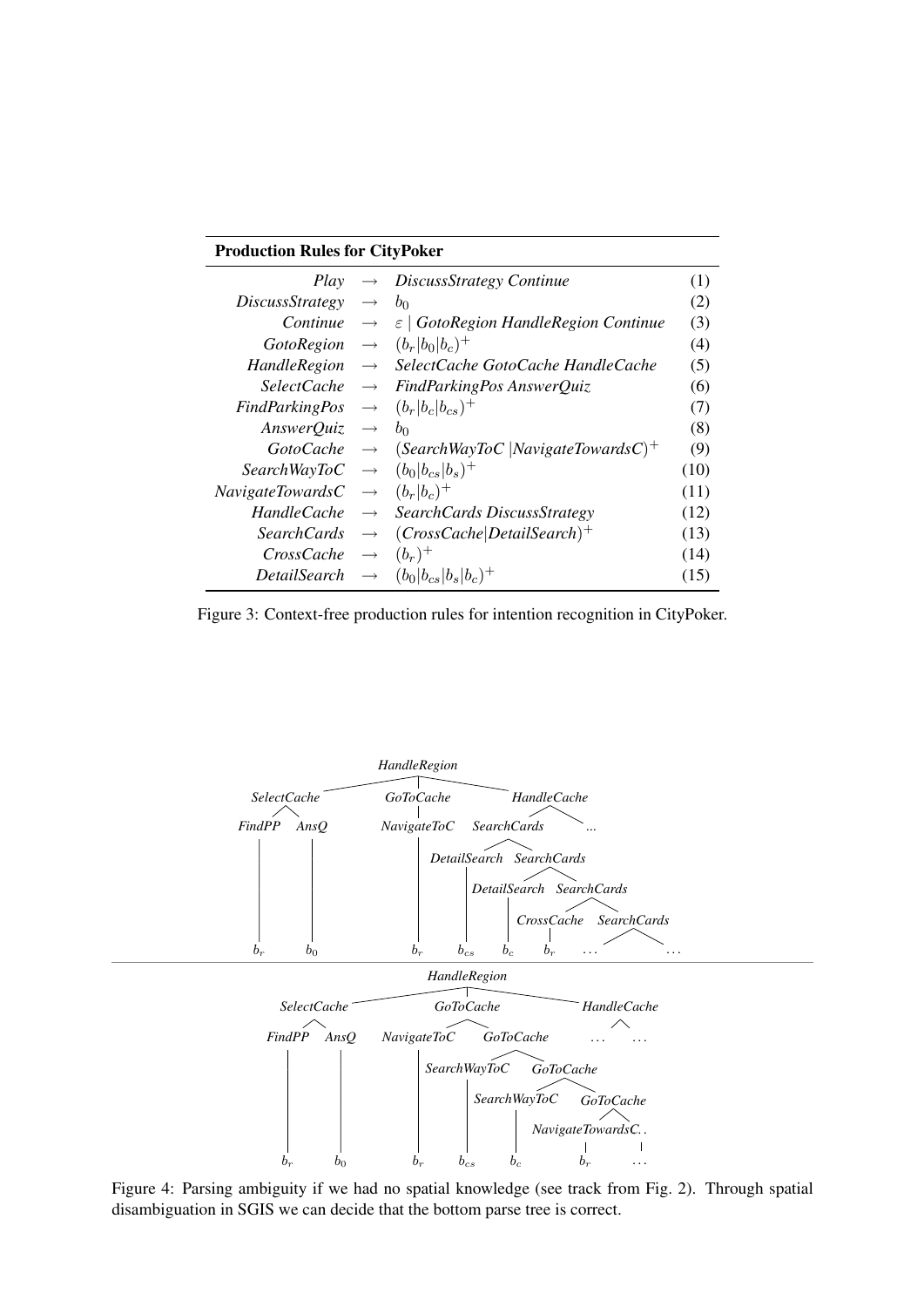# Production Rules for CityPoker

| Play                                                |                   | $\rightarrow$ DiscussStrategy Continue                          | (1)  |
|-----------------------------------------------------|-------------------|-----------------------------------------------------------------|------|
| <i>DiscussStrategy</i>                              | $\longrightarrow$ | b <sub>0</sub>                                                  | (2)  |
| Continue                                            | $\longrightarrow$ | $\epsilon$   GotoRegion HandleRegion Continue                   | (3)  |
| GotoRegion $\rightarrow$ $(b_r b_0 b_c)^+$          |                   |                                                                 | (4)  |
|                                                     |                   | $H and le Region \rightarrow SelectCache GotoCache HandleCache$ | (5)  |
|                                                     |                   | $SelectCache \rightarrow FindParkingPos AnswerQuiz$             | (6)  |
| FindParkingPos $\rightarrow$ $(b_r b_c b_{cs})^+$   |                   |                                                                 | (7)  |
| AnswerQuiz $\rightarrow$ $b_0$                      |                   |                                                                 | (8)  |
| $GotoCache \rightarrow$                             |                   | (SearchWayToC   NavigateTowardsC) <sup>+</sup>                  | (9)  |
| SearchWayToC $\rightarrow$ $(b_0 b_{cs} b_s)^+$     |                   |                                                                 | (10) |
| <i>NavigateTowardsC</i> $\rightarrow$ $(b_r b_c)^+$ |                   |                                                                 | (11) |
|                                                     |                   | $HandleCache \rightarrow SearchCards DiscussStrategy$           | (12) |
| <i>SearchCards</i>                                  | $\longrightarrow$ | $(CrossCache Details,')^+$                                      | (13) |
| CrossCache                                          | $\longrightarrow$ | $(b_r)^+$                                                       | (14) |
| DetailSearch                                        |                   | $\rightarrow$ $(b_0 b_{cs} b_s b_c)^+$                          | (15) |

Figure 3: Context-free production rules for intention recognition in CityPoker.



Figure 4: Parsing ambiguity if we had no spatial knowledge (see track from Fig. 2). Through spatial disambiguation in SGIS we can decide that the bottom parse tree is correct.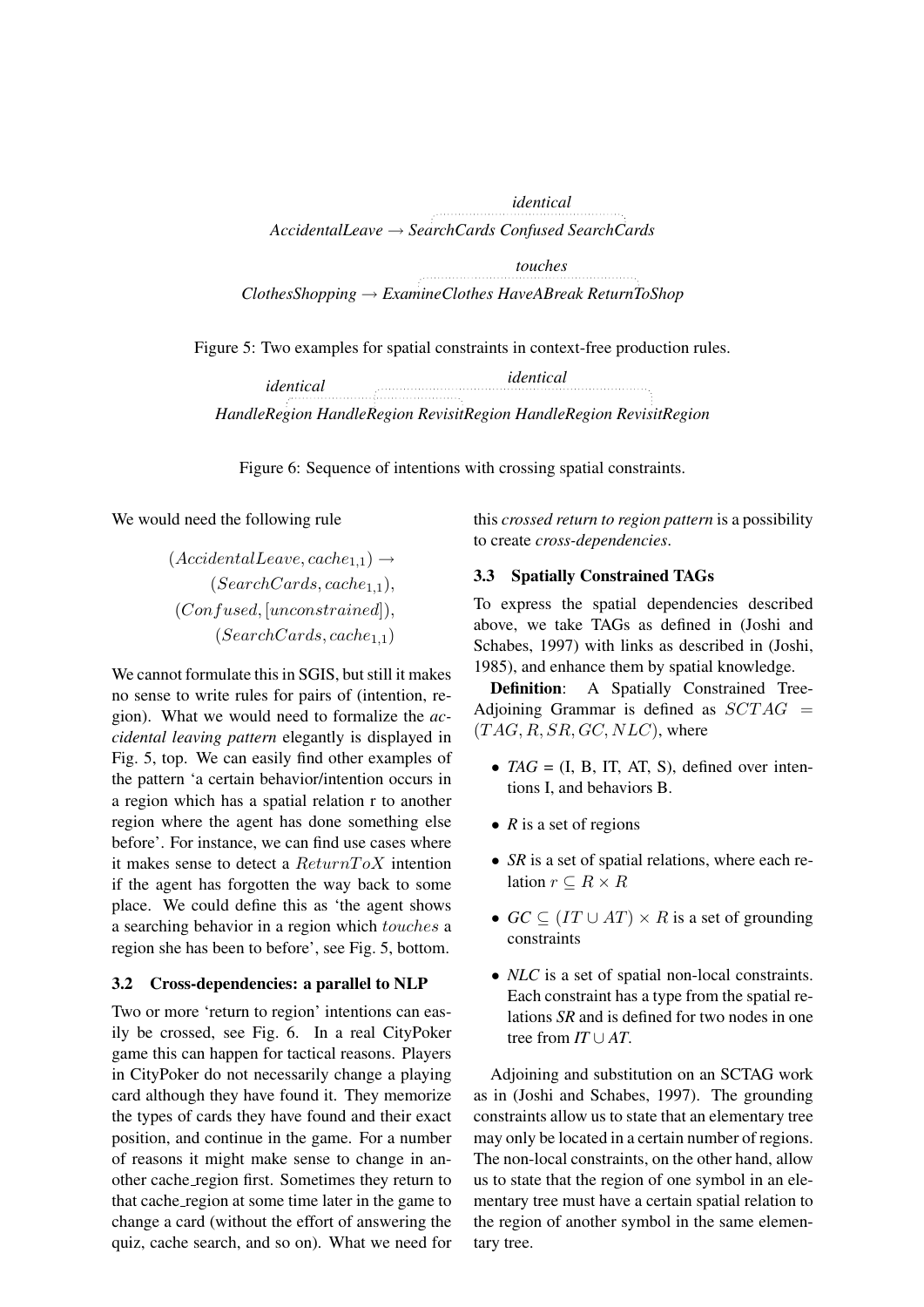*identical AccidentalLeave* → *SearchCards Confused SearchCards touches* 

*ClothesShopping* → *ExamineClothes HaveABreak ReturnToShop*

Figure 5: Two examples for spatial constraints in context-free production rules.

*HandleRegion HandleRegion RevisitRegion HandleRegion RevisitRegion identical identical*

Figure 6: Sequence of intentions with crossing spatial constraints.

We would need the following rule

 $(AccidentalLeave, cache_{1,1}) \rightarrow$  $(Search~~Cards, cache_{1,1}),~~$ </del> (Confused, [unconstrained]),  $(Search~~Cards, cache_{1,1})~~$ </del>

We cannot formulate this in SGIS, but still it makes no sense to write rules for pairs of (intention, region). What we would need to formalize the *accidental leaving pattern* elegantly is displayed in Fig. 5, top. We can easily find other examples of the pattern 'a certain behavior/intention occurs in a region which has a spatial relation r to another region where the agent has done something else before'. For instance, we can find use cases where it makes sense to detect a  $ReturnToX$  intention if the agent has forgotten the way back to some place. We could define this as 'the agent shows a searching behavior in a region which touches a region she has been to before', see Fig. 5, bottom.

# 3.2 Cross-dependencies: a parallel to NLP

Two or more 'return to region' intentions can easily be crossed, see Fig. 6. In a real CityPoker game this can happen for tactical reasons. Players in CityPoker do not necessarily change a playing card although they have found it. They memorize the types of cards they have found and their exact position, and continue in the game. For a number of reasons it might make sense to change in another cache region first. Sometimes they return to that cache region at some time later in the game to change a card (without the effort of answering the quiz, cache search, and so on). What we need for

this *crossed return to region pattern* is a possibility to create *cross-dependencies*.

# 3.3 Spatially Constrained TAGs

To express the spatial dependencies described above, we take TAGs as defined in (Joshi and Schabes, 1997) with links as described in (Joshi, 1985), and enhance them by spatial knowledge.

Definition: A Spatially Constrained Tree-Adjoining Grammar is defined as  $SCTAG =$  $(TAG, R, SR, GC, NLC)$ , where

- $TAG = (I, B, IT, AT, S)$ , defined over intentions I, and behaviors B.
- *R* is a set of regions
- *SR* is a set of spatial relations, where each relation  $r \subseteq R \times R$
- $GC \subseteq (IT \cup AT) \times R$  is a set of grounding constraints
- *NLC* is a set of spatial non-local constraints. Each constraint has a type from the spatial relations *SR* and is defined for two nodes in one tree from *IT* ∪ *AT*.

Adjoining and substitution on an SCTAG work as in (Joshi and Schabes, 1997). The grounding constraints allow us to state that an elementary tree may only be located in a certain number of regions. The non-local constraints, on the other hand, allow us to state that the region of one symbol in an elementary tree must have a certain spatial relation to the region of another symbol in the same elementary tree.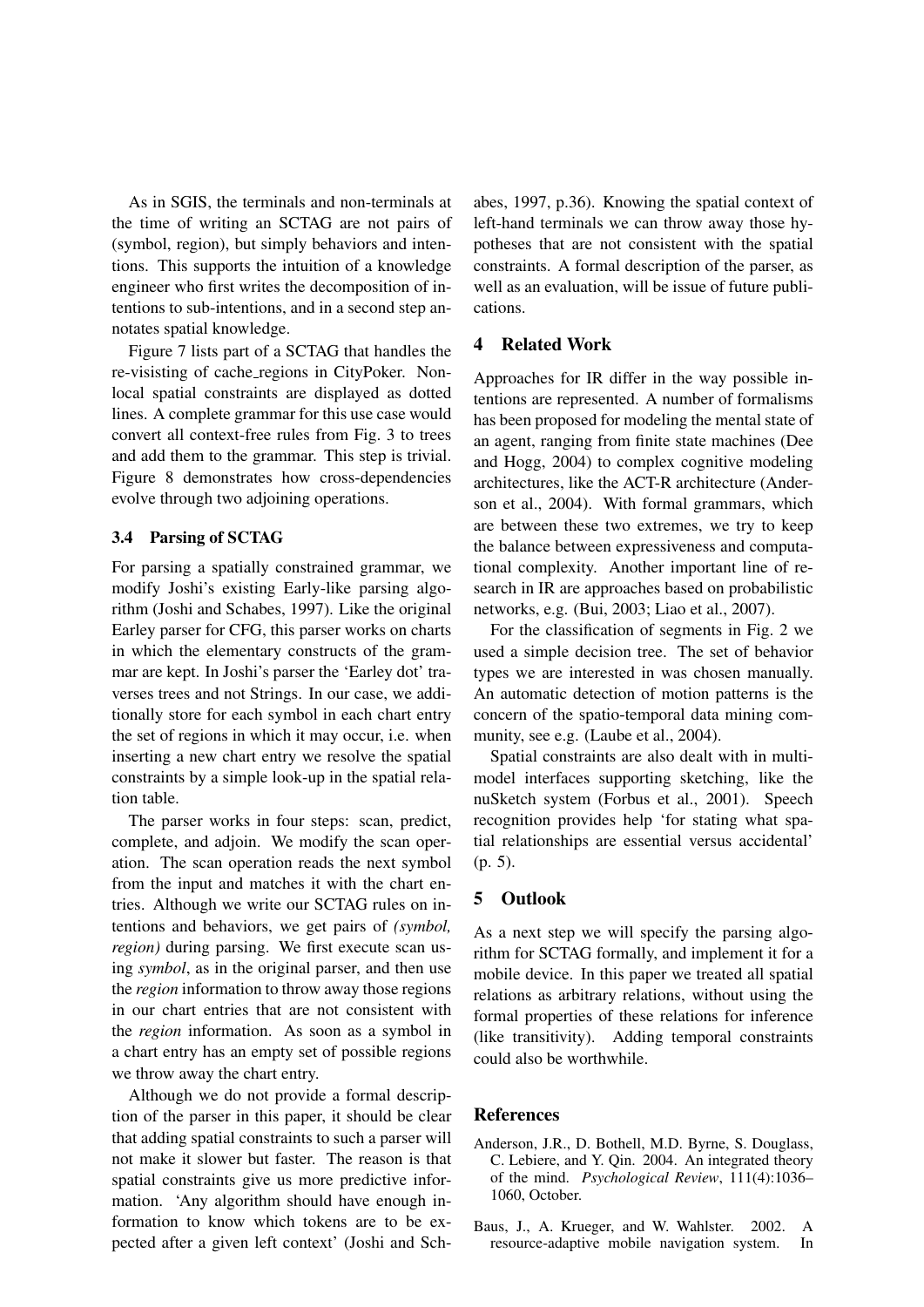As in SGIS, the terminals and non-terminals at the time of writing an SCTAG are not pairs of (symbol, region), but simply behaviors and intentions. This supports the intuition of a knowledge engineer who first writes the decomposition of intentions to sub-intentions, and in a second step annotates spatial knowledge.

Figure 7 lists part of a SCTAG that handles the re-visisting of cache regions in CityPoker. Nonlocal spatial constraints are displayed as dotted lines. A complete grammar for this use case would convert all context-free rules from Fig. 3 to trees and add them to the grammar. This step is trivial. Figure 8 demonstrates how cross-dependencies evolve through two adjoining operations.

## 3.4 Parsing of SCTAG

For parsing a spatially constrained grammar, we modify Joshi's existing Early-like parsing algorithm (Joshi and Schabes, 1997). Like the original Earley parser for CFG, this parser works on charts in which the elementary constructs of the grammar are kept. In Joshi's parser the 'Earley dot' traverses trees and not Strings. In our case, we additionally store for each symbol in each chart entry the set of regions in which it may occur, i.e. when inserting a new chart entry we resolve the spatial constraints by a simple look-up in the spatial relation table.

The parser works in four steps: scan, predict, complete, and adjoin. We modify the scan operation. The scan operation reads the next symbol from the input and matches it with the chart entries. Although we write our SCTAG rules on intentions and behaviors, we get pairs of *(symbol, region)* during parsing. We first execute scan using *symbol*, as in the original parser, and then use the *region* information to throw away those regions in our chart entries that are not consistent with the *region* information. As soon as a symbol in a chart entry has an empty set of possible regions we throw away the chart entry.

Although we do not provide a formal description of the parser in this paper, it should be clear that adding spatial constraints to such a parser will not make it slower but faster. The reason is that spatial constraints give us more predictive information. 'Any algorithm should have enough information to know which tokens are to be expected after a given left context' (Joshi and Schabes, 1997, p.36). Knowing the spatial context of left-hand terminals we can throw away those hypotheses that are not consistent with the spatial constraints. A formal description of the parser, as well as an evaluation, will be issue of future publications.

## 4 Related Work

Approaches for IR differ in the way possible intentions are represented. A number of formalisms has been proposed for modeling the mental state of an agent, ranging from finite state machines (Dee and Hogg, 2004) to complex cognitive modeling architectures, like the ACT-R architecture (Anderson et al., 2004). With formal grammars, which are between these two extremes, we try to keep the balance between expressiveness and computational complexity. Another important line of research in IR are approaches based on probabilistic networks, e.g. (Bui, 2003; Liao et al., 2007).

For the classification of segments in Fig. 2 we used a simple decision tree. The set of behavior types we are interested in was chosen manually. An automatic detection of motion patterns is the concern of the spatio-temporal data mining community, see e.g. (Laube et al., 2004).

Spatial constraints are also dealt with in multimodel interfaces supporting sketching, like the nuSketch system (Forbus et al., 2001). Speech recognition provides help 'for stating what spatial relationships are essential versus accidental' (p. 5).

## 5 Outlook

As a next step we will specify the parsing algorithm for SCTAG formally, and implement it for a mobile device. In this paper we treated all spatial relations as arbitrary relations, without using the formal properties of these relations for inference (like transitivity). Adding temporal constraints could also be worthwhile.

## References

- Anderson, J.R., D. Bothell, M.D. Byrne, S. Douglass, C. Lebiere, and Y. Qin. 2004. An integrated theory of the mind. *Psychological Review*, 111(4):1036– 1060, October.
- Baus, J., A. Krueger, and W. Wahlster. 2002. A resource-adaptive mobile navigation system. In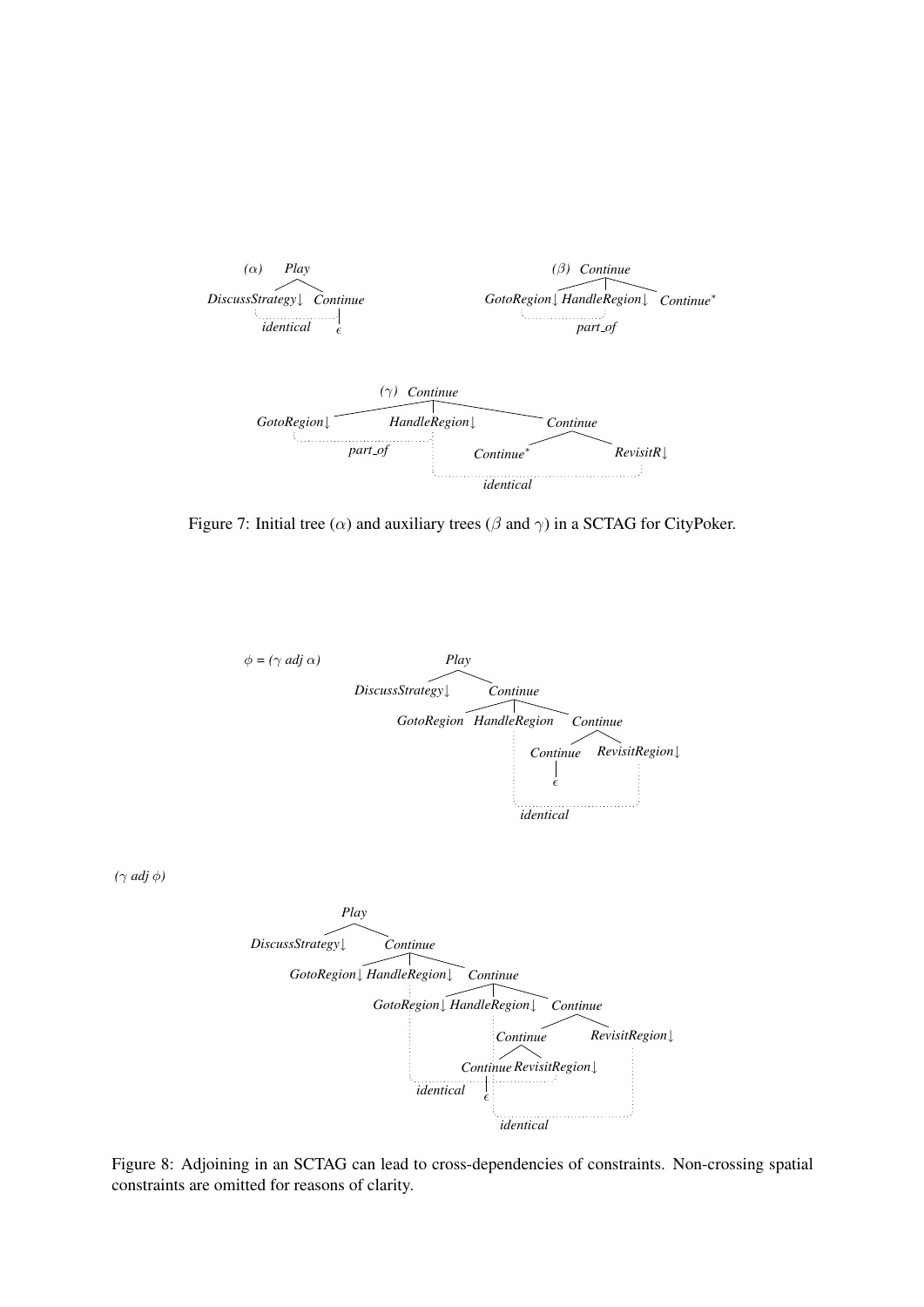

Figure 7: Initial tree ( $\alpha$ ) and auxiliary trees ( $\beta$  and  $\gamma$ ) in a SCTAG for CityPoker.



Figure 8: Adjoining in an SCTAG can lead to cross-dependencies of constraints. Non-crossing spatial constraints are omitted for reasons of clarity.